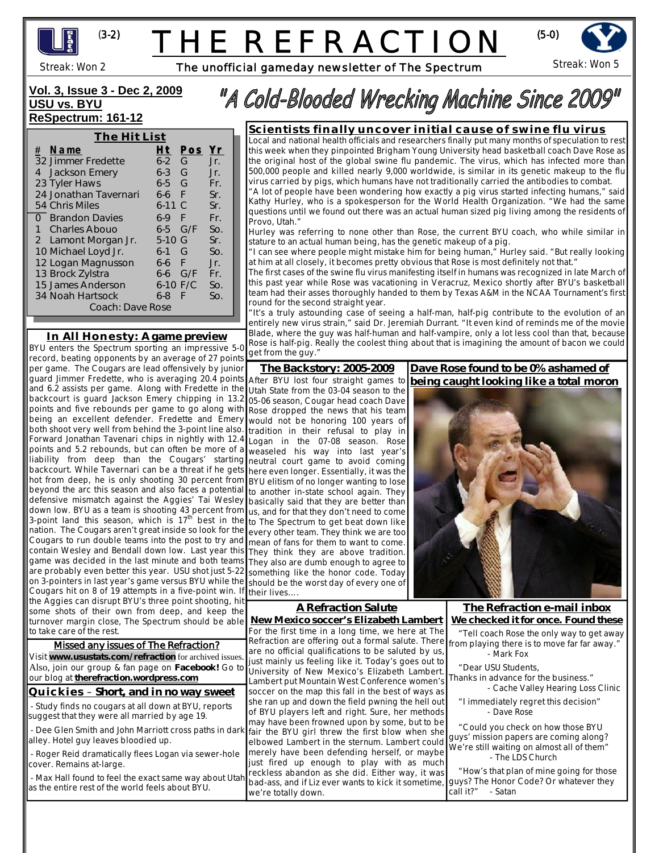

# THE REFRACTION



l

Streak: Won 2

The unofficial gameday newsletter of The Spectrum

### **Vol. 3, Issue 3 - Dec 2, 2009 USU vs. BYU ReSpectrum: 161-12**

(3-2)

| The Hit List               |            |               |                 |
|----------------------------|------------|---------------|-----------------|
| <b>Name</b><br><u>#</u>    | Ht         | <u>Pos Yr</u> |                 |
| 32 Jimmer Fredette         | $6 - 2$    | G             | Jr.             |
| 4 Jackson Emery            | $6 - 3$    | G             | Jr.             |
| 23 Tyler Haws              | $6 - 5$    | G             | Fr.             |
| 24 Jonathan Tavernari      | $6 - 6$    | F             | Sr.             |
| 54 Chris Miles             | $6 - 11$   | C             | Sr.             |
| <b>Brandon Davies</b><br>∩ | 6-9        | F             | Fr.             |
| 1 Charles Abouo            | 6-5        | G/F           | SO <sub>n</sub> |
| 2 Lamont Morgan Jr.        | $5-10$ G   |               | Sr.             |
| 10 Michael Loyd Jr.        | $6-1$      | G             | So.             |
| 12 Logan Magnusson         | 6-6 F      |               | Jr.             |
| 13 Brock Zylstra           | 6-6        | G/F           | Fr.             |
| 15 James Anderson          | $6-10$ F/C |               | So.             |
| 34 Noah Hartsock           | 6-8        | F             | So.             |
| Coach: Dave Rose           |            |               |                 |

### **In All Honesty: A game preview**

BYU enters the Spectrum sporting an impressive 5-0 record, beating opponents by an average of 27 points per game. The Cougars are lead offensively by junior guard Jimmer Fredette, who is averaging 20.4 points and 6.2 assists per game. Along with Fredette in the backcourt is guard Jackson Emery chipping in 13.2 points and five rebounds per game to go along with being an excellent defender. Fredette and Emery both shoot very well from behind the 3-point line also. Forward Jonathan Tavenari chips in nightly with 12.4 Logan in the 07-08 season. Rose points and 5.2 rebounds, but can often be more of a weaseled his way into last year's liability from deep than the Cougars' starting backcourt. While Tavernari can be a threat if he gets hot from deep, he is only shooting 30 percent from BYU elitism of no longer wanting to lose beyond the arc this season and also faces a potential to another in-state school again. They defensive mismatch against the Aggies' Tai Wesley down low. BYU as a team is shooting 43 percent from 3-point land this season, which is  $17<sup>th</sup>$  best in the to The Spectrum to get beat down like nation. The Cougars aren't great inside so look for the Cougars to run double teams into the post to try and contain Wesley and Bendall down low. Last year this game was decided in the last minute and both teams are probably even better this year. USU shot just 5-22 on 3-pointers in last year's game versus BYU while the Cougars hit on 8 of 19 attempts in a five-point win. If the Aggies can disrupt BYU's three point shooting, hit some shots of their own from deep, and keep the turnover margin close, The Spectrum should be able **New Mexico soccer's Elizabeth Lambert** to take care of the rest.

#### Missed any issues of The Refraction?

Visit **www.usustats.com/refraction** for archived issues. Also, join our group & fan page on **Facebook!** Go to our blog at **therefraction.wordpress.com**

**Quickies** – **Short, and in no way sweet** - Study finds no cougars at all down at BYU, reports suggest that they were all married by age 19.

- Dee Glen Smith and John Marriott cross paths in darl alley. Hotel guy leaves bloodied up.

- Roger Reid dramatically flees Logan via sewer-hole cover. Remains at-large.

- Max Hall found to feel the exact same way about Utah as the entire rest of the world feels about BYU.

# "A Cold-Blooded Wrecking Machine Since 2009"

**Scientists finally uncover initial cause of swine flu virus** Local and national health officials and researchers finally put many months of speculation to rest this week when they pinpointed Brigham Young University head basketball coach Dave Rose as the original host of the global swine flu pandemic. The virus, which has infected more than 500,000 people and killed nearly 9,000 worldwide, is similar in its genetic makeup to the flu virus carried by pigs, which humans have not traditionally carried the antibodies to combat. "A lot of people have been wondering how exactly a pig virus started infecting humans," said Kathy Hurley, who is a spokesperson for the World Health Organization. "We had the same questions until we found out there was an actual human sized pig living among the residents of Provo, Utah."

Hurley was referring to none other than Rose, the current BYU coach, who while similar in stature to an actual human being, has the genetic makeup of a pig.

"I can see where people might mistake him for being human," Hurley said. "But really looking at him at all closely, it becomes pretty obvious that Rose is most definitely not that."

The first cases of the swine flu virus manifesting itself in humans was recognized in late March of this past year while Rose was vacationing in Veracruz, Mexico shortly after BYU's basketball team had their asses thoroughly handed to them by Texas A&M in the NCAA Tournament's first round for the second straight year.

"It's a truly astounding case of seeing a half-man, half-pig contribute to the evolution of an entirely new virus strain," said Dr. Jeremiah Durrant. "It even kind of reminds me of the movie Blade, where the guy was half-human and half-vampire, only a lot less cool than that, because Rose is half-pig. Really the coolest thing about that is imagining the amount of bacon we could get from the guy.

After BYU lost four straight games to **being caught looking like a total moron The Backstory: 2005-2009** Utah State from the 03-04 season to the 05-06 season, Cougar head coach Dave Rose dropped the news that his team would not be honoring 100 years of tradition in their refusal to play in neutral court game to avoid coming here even longer. Essentially, it was the basically said that they are better than us, and for that they don't need to come every other team. They think we are too mean of fans for them to want to come. They think they are above tradition. They also are dumb enough to agree to something like the honor code. Today should be the worst day of every one of their lives….

### **A Refraction Salute**

For the first time in a long time, we here at The Refraction are offering out a formal salute. There are no official qualifications to be saluted by us, just mainly us feeling like it. Today's goes out to University of New Mexico's Elizabeth Lambert. Lambert put Mountain West Conference women's soccer on the map this fall in the best of ways as she ran up and down the field pwning the hell out of BYU players left and right. Sure, her methods may have been frowned upon by some, but to be fair the BYU girl threw the first blow when she elbowed Lambert in the sternum. Lambert could merely have been defending herself, or maybe just fired up enough to play with as much reckless abandon as she did. Either way, it was bad-ass, and if Liz ever wants to kick it sometime, we're totally down.



**Dave Rose found to be 0% ashamed of** 

**The Refraction e-mail inbox We checked it for once. Found these**

"Tell coach Rose the only way to get away from playing there is to move far far away." *- Mark Fox* "Dear USU Students,

Thanks in advance for the business." *- Cache Valley Hearing Loss Clinic*

"I immediately regret this decision" *- Dave Rose*

"Could you check on how those BYU guys' mission papers are coming along? We're still waiting on almost all of them" *- The LDS Church*

"How's that plan of mine going for those guys? The Honor Code? Or whatever they call it?" *- Satan*